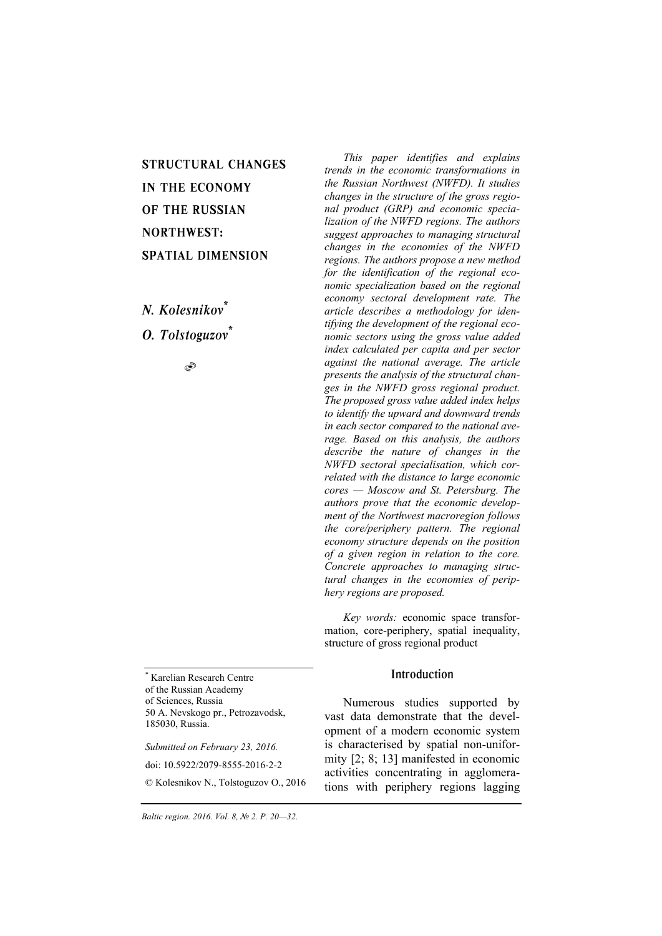# STRUCTURAL CHANGES IN THE ECONOMY OF THE RUSSIAN NORTHWEST: SPATIAL DIMENSION

*N. Kolesnikov\* O. Tolstoguzov\**

S

\* Karelian Research Centre of the Russian Academy of Sciences, Russia 50 A. Nevskogo pr., Petrozavodsk, 185030, Russia.

*Submitted on February 23, 2016.*  doi: 10.5922/2079-8555-2016-2-2 © Kolesnikov N., Tolstoguzov O., 2016

*This paper identifies and explains trends in the economic transformations in the Russian Northwest (NWFD). It studies changes in the structure of the gross regional product (GRP) and economic specialization of the NWFD regions. The authors suggest approaches to managing structural changes in the economies of the NWFD regions. The authors propose a new method for the identification of the regional economic specialization based on the regional economy sectoral development rate. The article describes a methodology for identifying the development of the regional economic sectors using the gross value added index calculated per capita and per sector against the national average. The article presents the analysis of the structural changes in the NWFD gross regional product. The proposed gross value added index helps to identify the upward and downward trends in each sector compared to the national average. Based on this analysis, the authors describe the nature of changes in the NWFD sectoral specialisation, which correlated with the distance to large economic cores — Moscow and St. Petersburg. The authors prove that the economic development of the Northwest macroregion follows the core/periphery pattern. The regional economy structure depends on the position of a given region in relation to the core. Concrete approaches to managing structural changes in the economies of periphery regions are proposed.* 

*Key words:* economic space transformation, core-periphery, spatial inequality, structure of gross regional product

# Introduction

Numerous studies supported by vast data demonstrate that the development of a modern economic system is characterised by spatial non-uniformity [2; 8; 13] manifested in economic activities concentrating in agglomerations with periphery regions lagging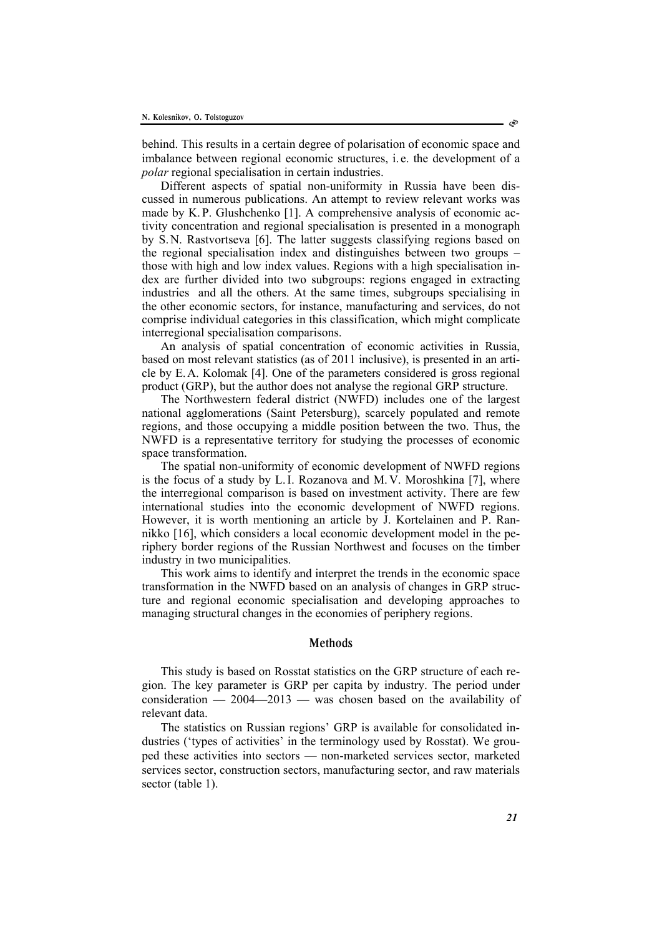behind. This results in a certain degree of polarisation of economic space and imbalance between regional economic structures, i. e. the development of a *polar* regional specialisation in certain industries.

Different aspects of spatial non-uniformity in Russia have been discussed in numerous publications. An attempt to review relevant works was made by K.P. Glushchenko [1]. A comprehensive analysis of economic activity concentration and regional specialisation is presented in a monograph by S.N. Rastvortseva [6]. The latter suggests classifying regions based on the regional specialisation index and distinguishes between two groups – those with high and low index values. Regions with a high specialisation index are further divided into two subgroups: regions engaged in extracting industries and all the others. At the same times, subgroups specialising in the other economic sectors, for instance, manufacturing and services, do not comprise individual categories in this classification, which might complicate interregional specialisation comparisons.

An analysis of spatial concentration of economic activities in Russia, based on most relevant statistics (as of 2011 inclusive), is presented in an article by E.A. Kolomak [4]. One of the parameters considered is gross regional product (GRP), but the author does not analyse the regional GRP structure.

The Northwestern federal district (NWFD) includes one of the largest national agglomerations (Saint Petersburg), scarcely populated and remote regions, and those occupying a middle position between the two. Thus, the NWFD is a representative territory for studying the processes of economic space transformation.

The spatial non-uniformity of economic development of NWFD regions is the focus of a study by L.I. Rozanova and M.V. Moroshkina [7], where the interregional comparison is based on investment activity. There are few international studies into the economic development of NWFD regions. However, it is worth mentioning an article by J. Kortelainen and P. Rannikko [16], which considers a local economic development model in the periphery border regions of the Russian Northwest and focuses on the timber industry in two municipalities.

This work aims to identify and interpret the trends in the economic space transformation in the NWFD based on an analysis of changes in GRP structure and regional economic specialisation and developing approaches to managing structural changes in the economies of periphery regions.

#### Methods

This study is based on Rosstat statistics on the GRP structure of each region. The key parameter is GRP per capita by industry. The period under consideration  $-2004-2013$  — was chosen based on the availability of relevant data.

The statistics on Russian regions' GRP is available for consolidated industries ('types of activities' in the terminology used by Rosstat). We grouped these activities into sectors — non-marketed services sector, marketed services sector, construction sectors, manufacturing sector, and raw materials sector (table 1).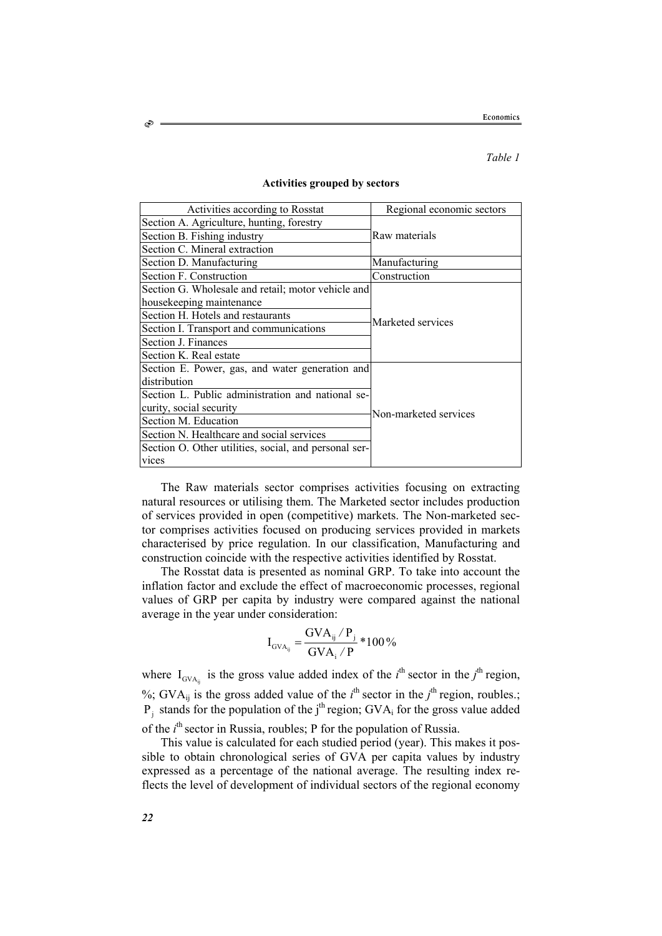#### *Table 1*

| Activities according to Rosstat                       | Regional economic sectors |  |  |
|-------------------------------------------------------|---------------------------|--|--|
| Section A. Agriculture, hunting, forestry             | Raw materials             |  |  |
| Section B. Fishing industry                           |                           |  |  |
| Section C. Mineral extraction                         |                           |  |  |
| Section D. Manufacturing                              | Manufacturing             |  |  |
| Section F. Construction                               | Construction              |  |  |
| Section G. Wholesale and retail; motor vehicle and    | Marketed services         |  |  |
| housekeeping maintenance                              |                           |  |  |
| Section H. Hotels and restaurants                     |                           |  |  |
| Section I. Transport and communications               |                           |  |  |
| Section J. Finances                                   |                           |  |  |
| Section K. Real estate                                |                           |  |  |
| Section E. Power, gas, and water generation and       |                           |  |  |
| distribution                                          | Non-marketed services     |  |  |
| Section L. Public administration and national se-     |                           |  |  |
| curity, social security                               |                           |  |  |
| Section M. Education                                  |                           |  |  |
| Section N. Healthcare and social services             |                           |  |  |
| Section O. Other utilities, social, and personal ser- |                           |  |  |
| vices                                                 |                           |  |  |

#### **Activities grouped by sectors**

The Raw materials sector comprises activities focusing on extracting natural resources or utilising them. The Marketed sector includes production of services provided in open (competitive) markets. The Non-marketed sector comprises activities focused on producing services provided in markets characterised by price regulation. In our classification, Manufacturing and construction coincide with the respective activities identified by Rosstat.

The Rosstat data is presented as nominal GRP. To take into account the inflation factor and exclude the effect of macroeconomic processes, regional values of GRP per capita by industry were compared against the national average in the year under consideration:

$$
I_{\text{GVA}_{ij}} = \frac{GVA_{ij} / P_j}{GVA_i / P} * 100\%
$$

where  $I_{\text{GVA}_{ij}}$  is the gross value added index of the *i*<sup>th</sup> sector in the *j*<sup>th</sup> region, %; GVA<sub>ij</sub> is the gross added value of the  $i^{\text{th}}$  sector in the  $j^{\text{th}}$  region, roubles.;  $P_i$  stands for the population of the j<sup>th</sup> region; GVA<sub>i</sub> for the gross value added of the *i*<sup>th</sup> sector in Russia, roubles; P for the population of Russia.

This value is calculated for each studied period (year). This makes it possible to obtain chronological series of GVA per capita values by industry expressed as a percentage of the national average. The resulting index reflects the level of development of individual sectors of the regional economy

S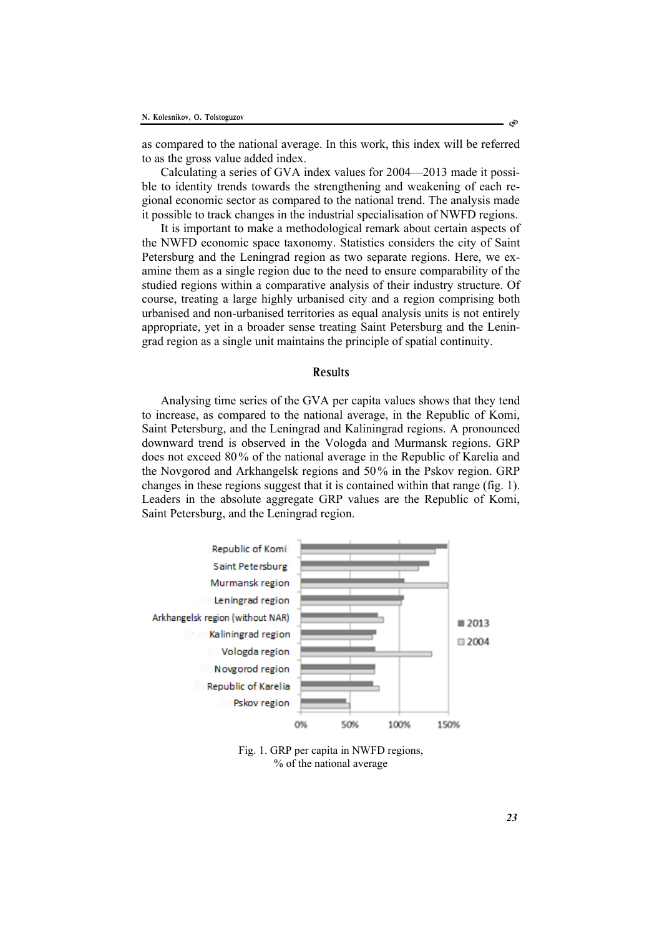as compared to the national average. In this work, this index will be referred to as the gross value added index.

Calculating a series of GVA index values for 2004—2013 made it possible to identity trends towards the strengthening and weakening of each regional economic sector as compared to the national trend. The analysis made it possible to track changes in the industrial specialisation of NWFD regions.

It is important to make a methodological remark about certain aspects of the NWFD economic space taxonomy. Statistics considers the city of Saint Petersburg and the Leningrad region as two separate regions. Here, we examine them as a single region due to the need to ensure comparability of the studied regions within a comparative analysis of their industry structure. Of course, treating a large highly urbanised city and a region comprising both urbanised and non-urbanised territories as equal analysis units is not entirely appropriate, yet in a broader sense treating Saint Petersburg and the Leningrad region as a single unit maintains the principle of spatial continuity.

## Results

Analysing time series of the GVA per capita values shows that they tend to increase, as compared to the national average, in the Republic of Komi, Saint Petersburg, and the Leningrad and Kaliningrad regions. A pronounced downward trend is observed in the Vologda and Murmansk regions. GRP does not exceed 80% of the national average in the Republic of Karelia and the Novgorod and Arkhangelsk regions and 50% in the Pskov region. GRP changes in these regions suggest that it is contained within that range (fig. 1). Leaders in the absolute aggregate GRP values are the Republic of Komi, Saint Petersburg, and the Leningrad region.



Fig. 1. GRP per capita in NWFD regions, % of the national average

*23*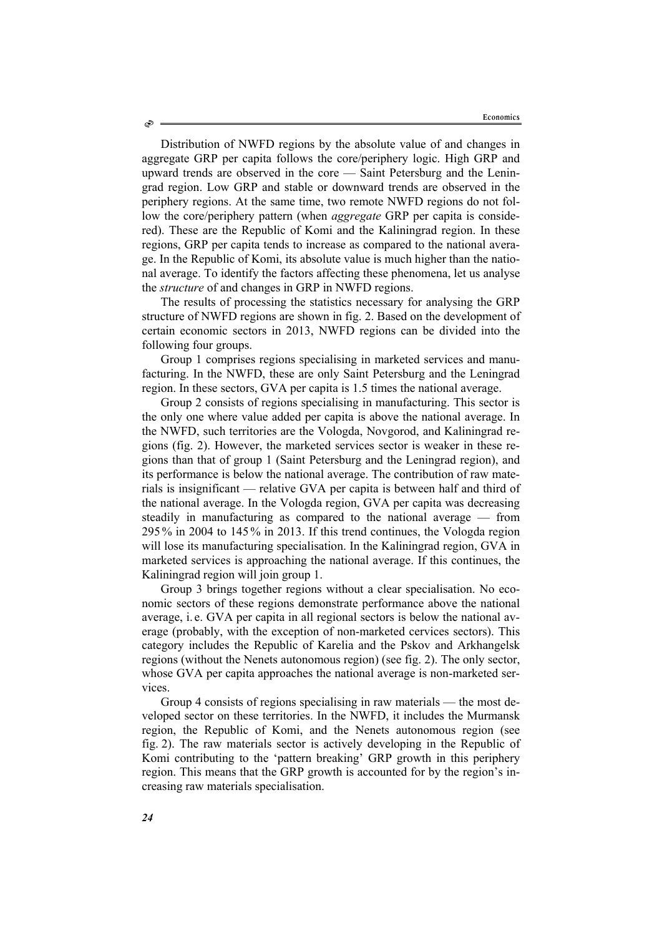Distribution of NWFD regions by the absolute value of and changes in aggregate GRP per capita follows the core/periphery logic. High GRP and upward trends are observed in the core — Saint Petersburg and the Leningrad region. Low GRP and stable or downward trends are observed in the periphery regions. At the same time, two remote NWFD regions do not follow the core/periphery pattern (when *aggregate* GRP per capita is considered). These are the Republic of Komi and the Kaliningrad region. In these regions, GRP per capita tends to increase as compared to the national average. In the Republic of Komi, its absolute value is much higher than the national average. To identify the factors affecting these phenomena, let us analyse the *structure* of and changes in GRP in NWFD regions.

The results of processing the statistics necessary for analysing the GRP structure of NWFD regions are shown in fig. 2. Based on the development of certain economic sectors in 2013, NWFD regions can be divided into the following four groups.

Group 1 comprises regions specialising in marketed services and manufacturing. In the NWFD, these are only Saint Petersburg and the Leningrad region. In these sectors, GVA per capita is 1.5 times the national average.

Group 2 consists of regions specialising in manufacturing. This sector is the only one where value added per capita is above the national average. In the NWFD, such territories are the Vologda, Novgorod, and Kaliningrad regions (fig. 2). However, the marketed services sector is weaker in these regions than that of group 1 (Saint Petersburg and the Leningrad region), and its performance is below the national average. The contribution of raw materials is insignificant — relative GVA per capita is between half and third of the national average. In the Vologda region, GVA per capita was decreasing steadily in manufacturing as compared to the national average — from 295% in 2004 to 145% in 2013. If this trend continues, the Vologda region will lose its manufacturing specialisation. In the Kaliningrad region, GVA in marketed services is approaching the national average. If this continues, the Kaliningrad region will join group 1.

Group 3 brings together regions without a clear specialisation. No economic sectors of these regions demonstrate performance above the national average, i. e. GVA per capita in all regional sectors is below the national average (probably, with the exception of non-marketed cervices sectors). This category includes the Republic of Karelia and the Pskov and Arkhangelsk regions (without the Nenets autonomous region) (see fig. 2). The only sector, whose GVA per capita approaches the national average is non-marketed services.

Group 4 consists of regions specialising in raw materials — the most developed sector on these territories. In the NWFD, it includes the Murmansk region, the Republic of Komi, and the Nenets autonomous region (see fig. 2). The raw materials sector is actively developing in the Republic of Komi contributing to the 'pattern breaking' GRP growth in this periphery region. This means that the GRP growth is accounted for by the region's increasing raw materials specialisation.

Ò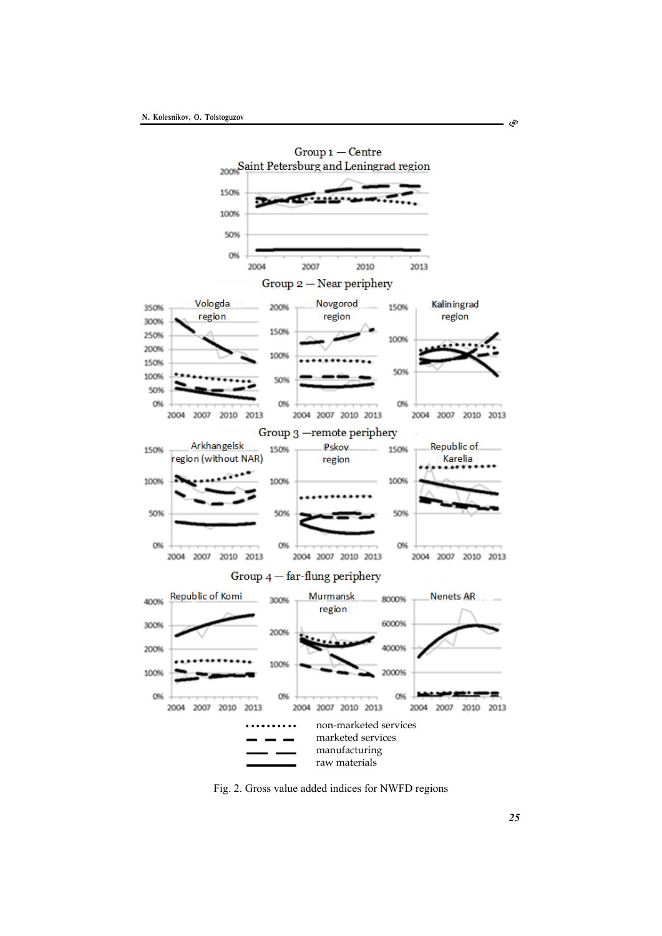

Fig. 2. Gross value added indices for NWFD regions

া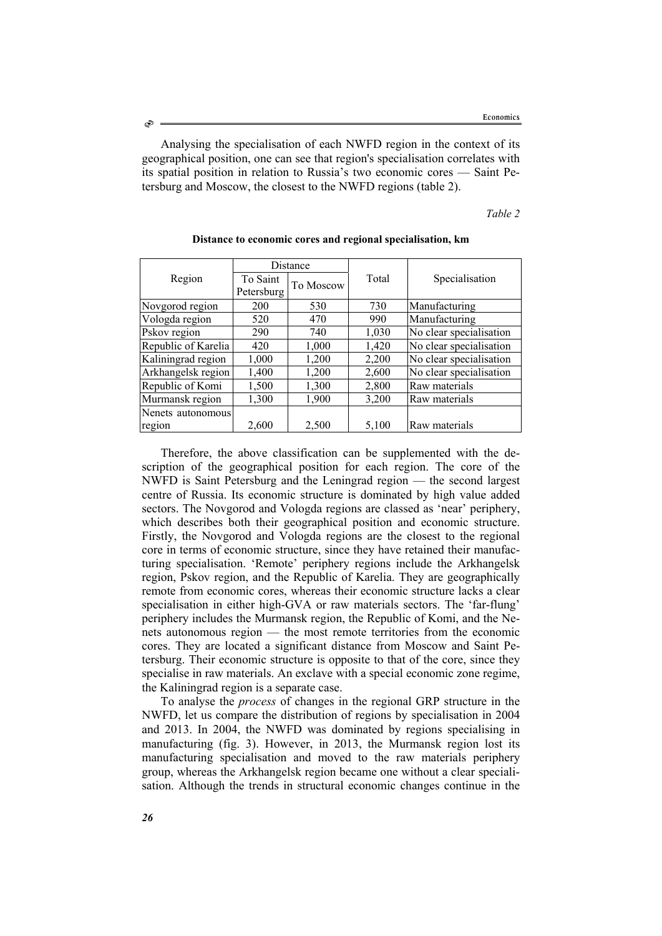Analysing the specialisation of each NWFD region in the context of its geographical position, one can see that region's specialisation correlates with its spatial position in relation to Russia's two economic cores — Saint Petersburg and Moscow, the closest to the NWFD regions (table 2).

*Table 2* 

|                     | Distance   |           |       |                         |
|---------------------|------------|-----------|-------|-------------------------|
| Region              | To Saint   | To Moscow | Total | Specialisation          |
|                     | Petersburg |           |       |                         |
| Novgorod region     | 200        | 530       | 730   | Manufacturing           |
| Vologda region      | 520        | 470       | 990   | Manufacturing           |
| Pskov region        | 290        | 740       | 1,030 | No clear specialisation |
| Republic of Karelia | 420        | 1,000     | 1,420 | No clear specialisation |
| Kaliningrad region  | 1,000      | 1,200     | 2,200 | No clear specialisation |
| Arkhangelsk region  | 1,400      | 1,200     | 2,600 | No clear specialisation |
| Republic of Komi    | 1,500      | 1,300     | 2,800 | Raw materials           |
| Murmansk region     | 1,300      | 1,900     | 3,200 | Raw materials           |
| Nenets autonomous   |            |           |       |                         |
| region              | 2,600      | 2,500     | 5,100 | Raw materials           |

**Distance to economic cores and regional specialisation, km** 

Therefore, the above classification can be supplemented with the description of the geographical position for each region. The core of the NWFD is Saint Petersburg and the Leningrad region — the second largest centre of Russia. Its economic structure is dominated by high value added sectors. The Novgorod and Vologda regions are classed as 'near' periphery, which describes both their geographical position and economic structure. Firstly, the Novgorod and Vologda regions are the closest to the regional core in terms of economic structure, since they have retained their manufacturing specialisation. 'Remote' periphery regions include the Arkhangelsk region, Pskov region, and the Republic of Karelia. They are geographically remote from economic cores, whereas their economic structure lacks a clear specialisation in either high-GVA or raw materials sectors. The 'far-flung' periphery includes the Murmansk region, the Republic of Komi, and the Nenets autonomous region — the most remote territories from the economic cores. They are located a significant distance from Moscow and Saint Petersburg. Their economic structure is opposite to that of the core, since they specialise in raw materials. An exclave with a special economic zone regime, the Kaliningrad region is a separate case.

To analyse the *process* of changes in the regional GRP structure in the NWFD, let us compare the distribution of regions by specialisation in 2004 and 2013. In 2004, the NWFD was dominated by regions specialising in manufacturing (fig. 3). However, in 2013, the Murmansk region lost its manufacturing specialisation and moved to the raw materials periphery group, whereas the Arkhangelsk region became one without a clear specialisation. Although the trends in structural economic changes continue in the

Ò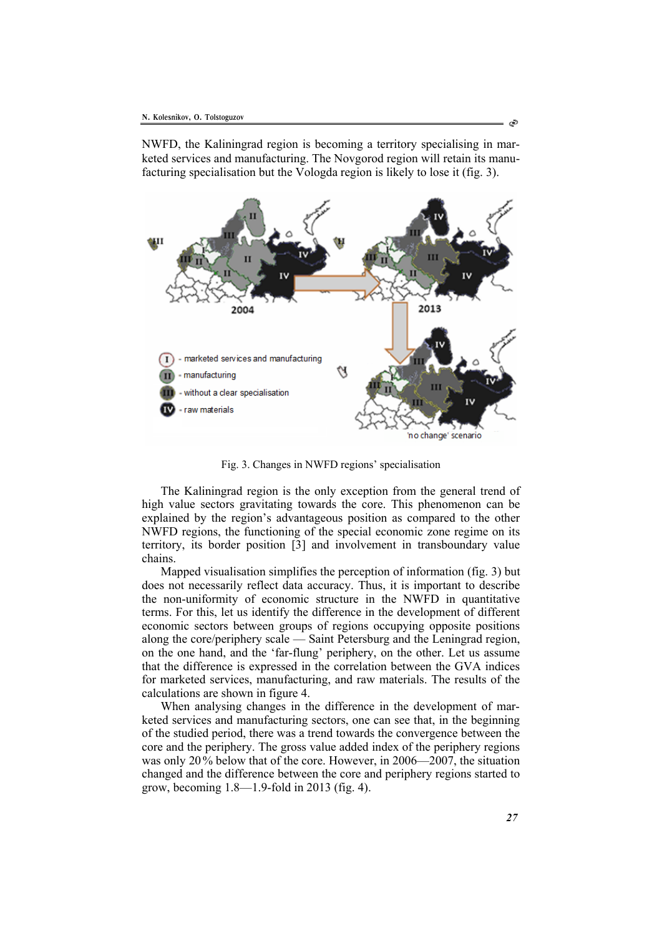NWFD, the Kaliningrad region is becoming a territory specialising in marketed services and manufacturing. The Novgorod region will retain its manufacturing specialisation but the Vologda region is likely to lose it (fig. 3).



Fig. 3. Changes in NWFD regions' specialisation

The Kaliningrad region is the only exception from the general trend of high value sectors gravitating towards the core. This phenomenon can be explained by the region's advantageous position as compared to the other NWFD regions, the functioning of the special economic zone regime on its territory, its border position [3] and involvement in transboundary value chains.

Mapped visualisation simplifies the perception of information (fig. 3) but does not necessarily reflect data accuracy. Thus, it is important to describe the non-uniformity of economic structure in the NWFD in quantitative terms. For this, let us identify the difference in the development of different economic sectors between groups of regions occupying opposite positions along the core/periphery scale — Saint Petersburg and the Leningrad region, on the one hand, and the 'far-flung' periphery, on the other. Let us assume that the difference is expressed in the correlation between the GVA indices for marketed services, manufacturing, and raw materials. The results of the calculations are shown in figure 4.

When analysing changes in the difference in the development of marketed services and manufacturing sectors, one can see that, in the beginning of the studied period, there was a trend towards the convergence between the core and the periphery. The gross value added index of the periphery regions was only 20% below that of the core. However, in 2006—2007, the situation changed and the difference between the core and periphery regions started to grow, becoming 1.8—1.9-fold in 2013 (fig. 4).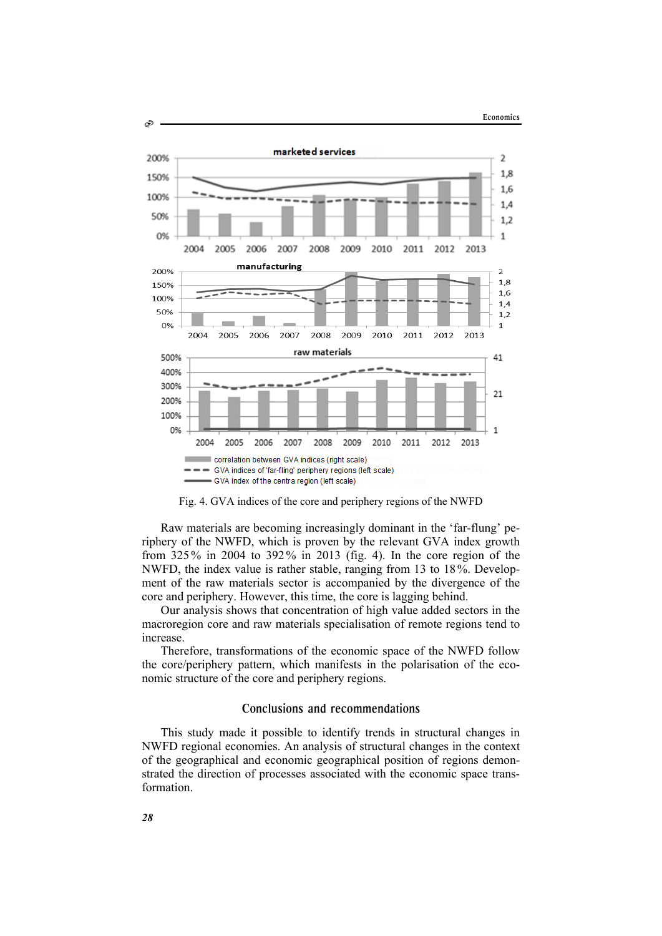

Fig. 4. GVA indices of the core and periphery regions of the NWFD

Raw materials are becoming increasingly dominant in the 'far-flung' periphery of the NWFD, which is proven by the relevant GVA index growth from 325% in 2004 to 392% in 2013 (fig. 4). In the core region of the NWFD, the index value is rather stable, ranging from 13 to 18%. Development of the raw materials sector is accompanied by the divergence of the core and periphery. However, this time, the core is lagging behind.

Our analysis shows that concentration of high value added sectors in the macroregion core and raw materials specialisation of remote regions tend to increase.

Therefore, transformations of the economic space of the NWFD follow the core/periphery pattern, which manifests in the polarisation of the economic structure of the core and periphery regions.

## Conclusions and recommendations

This study made it possible to identify trends in structural changes in NWFD regional economies. An analysis of structural changes in the context of the geographical and economic geographical position of regions demonstrated the direction of processes associated with the economic space transformation.

S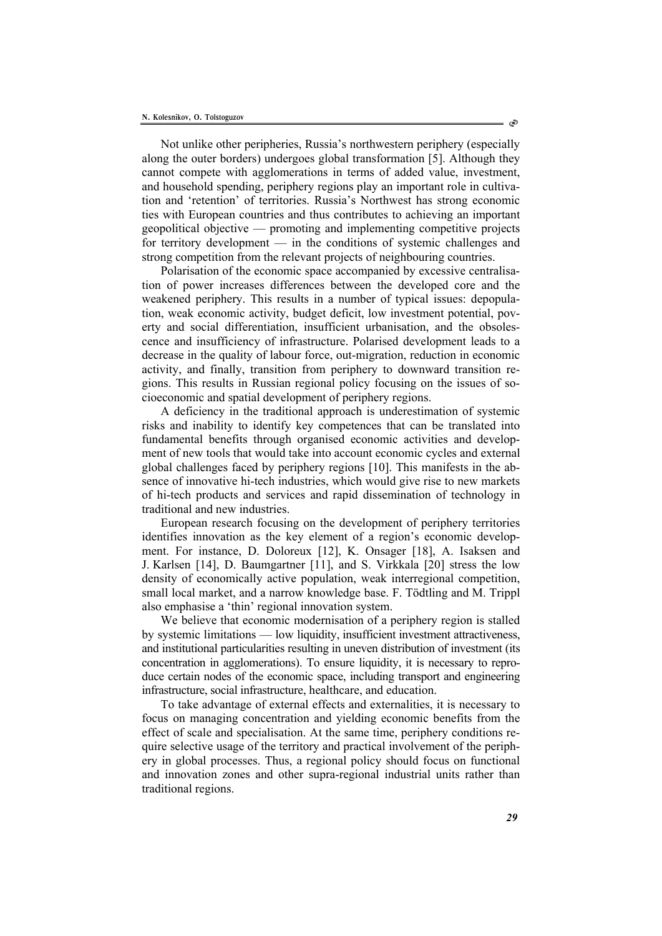Not unlike other peripheries, Russia's northwestern periphery (especially along the outer borders) undergoes global transformation [5]. Although they cannot compete with agglomerations in terms of added value, investment, and household spending, periphery regions play an important role in cultivation and 'retention' of territories. Russia's Northwest has strong economic ties with European countries and thus contributes to achieving an important geopolitical objective — promoting and implementing competitive projects for territory development — in the conditions of systemic challenges and strong competition from the relevant projects of neighbouring countries.

Polarisation of the economic space accompanied by excessive centralisation of power increases differences between the developed core and the weakened periphery. This results in a number of typical issues: depopulation, weak economic activity, budget deficit, low investment potential, poverty and social differentiation, insufficient urbanisation, and the obsolescence and insufficiency of infrastructure. Polarised development leads to a decrease in the quality of labour force, out-migration, reduction in economic activity, and finally, transition from periphery to downward transition regions. This results in Russian regional policy focusing on the issues of socioeconomic and spatial development of periphery regions.

A deficiency in the traditional approach is underestimation of systemic risks and inability to identify key competences that can be translated into fundamental benefits through organised economic activities and development of new tools that would take into account economic cycles and external global challenges faced by periphery regions [10]. This manifests in the absence of innovative hi-tech industries, which would give rise to new markets of hi-tech products and services and rapid dissemination of technology in traditional and new industries.

European research focusing on the development of periphery territories identifies innovation as the key element of a region's economic development. For instance, D. Doloreux [12], K. Onsager [18], A. Isaksen and J. Karlsen [14], D. Baumgartner [11], and S. Virkkala [20] stress the low density of economically active population, weak interregional competition, small local market, and a narrow knowledge base. F. Tödtling and M. Trippl also emphasise a 'thin' regional innovation system.

We believe that economic modernisation of a periphery region is stalled by systemic limitations — low liquidity, insufficient investment attractiveness, and institutional particularities resulting in uneven distribution of investment (its concentration in agglomerations). To ensure liquidity, it is necessary to reproduce certain nodes of the economic space, including transport and engineering infrastructure, social infrastructure, healthcare, and education.

To take advantage of external effects and externalities, it is necessary to focus on managing concentration and yielding economic benefits from the effect of scale and specialisation. At the same time, periphery conditions require selective usage of the territory and practical involvement of the periphery in global processes. Thus, a regional policy should focus on functional and innovation zones and other supra-regional industrial units rather than traditional regions.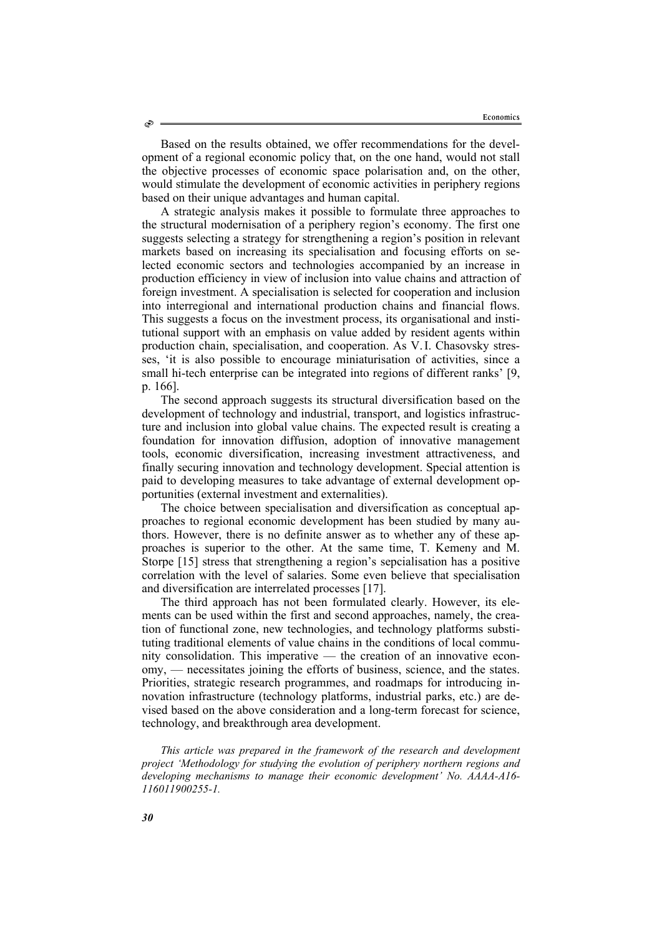Based on the results obtained, we offer recommendations for the development of a regional economic policy that, on the one hand, would not stall the objective processes of economic space polarisation and, on the other, would stimulate the development of economic activities in periphery regions based on their unique advantages and human capital.

A strategic analysis makes it possible to formulate three approaches to the structural modernisation of a periphery region's economy. The first one suggests selecting a strategy for strengthening a region's position in relevant markets based on increasing its specialisation and focusing efforts on selected economic sectors and technologies accompanied by an increase in production efficiency in view of inclusion into value chains and attraction of foreign investment. A specialisation is selected for cooperation and inclusion into interregional and international production chains and financial flows. This suggests a focus on the investment process, its organisational and institutional support with an emphasis on value added by resident agents within production chain, specialisation, and cooperation. As V.I. Chasovsky stresses, 'it is also possible to encourage miniaturisation of activities, since a small hi-tech enterprise can be integrated into regions of different ranks' [9, p. 166].

The second approach suggests its structural diversification based on the development of technology and industrial, transport, and logistics infrastructure and inclusion into global value chains. The expected result is creating a foundation for innovation diffusion, adoption of innovative management tools, economic diversification, increasing investment attractiveness, and finally securing innovation and technology development. Special attention is paid to developing measures to take advantage of external development opportunities (external investment and externalities).

The choice between specialisation and diversification as conceptual approaches to regional economic development has been studied by many authors. However, there is no definite answer as to whether any of these approaches is superior to the other. At the same time, T. Kemeny and M. Storpe [15] stress that strengthening a region's sepcialisation has a positive correlation with the level of salaries. Some even believe that specialisation and diversification are interrelated processes [17].

The third approach has not been formulated clearly. However, its elements can be used within the first and second approaches, namely, the creation of functional zone, new technologies, and technology platforms substituting traditional elements of value chains in the conditions of local community consolidation. This imperative — the creation of an innovative economy, — necessitates joining the efforts of business, science, and the states. Priorities, strategic research programmes, and roadmaps for introducing innovation infrastructure (technology platforms, industrial parks, etc.) are devised based on the above consideration and a long-term forecast for science, technology, and breakthrough area development.

*This article was prepared in the framework of the research and development project 'Methodology for studying the evolution of periphery northern regions and developing mechanisms to manage their economic development' No. АААА-А16- 116011900255-1.*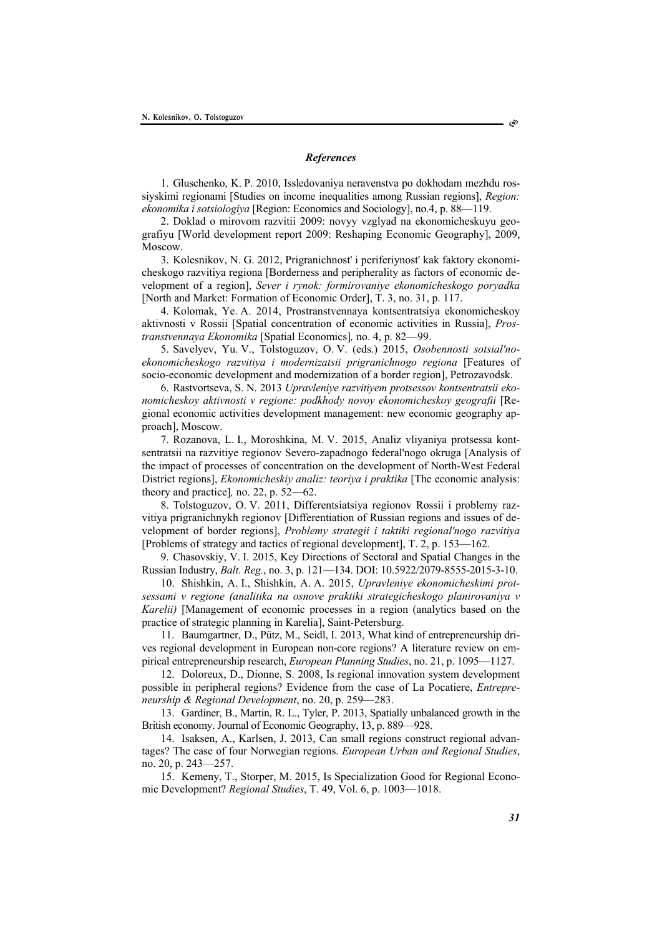#### *References*

1. Gluschenko, K. P. 2010, Issledovaniya neravenstva po dokhodam mezhdu rossiyskimi regionami [Studies on income inequalities among Russian regions], *Region: ekonomika i sotsiologiya* [Region: Economics and Sociology], no.4, p. 88—119.

2. Doklad o mirovom razvitii 2009: novyy vzglyad na ekonomicheskuyu geografiyu [World development report 2009: Reshaping Economic Geography], 2009, Moscow.

3. Kolesnikov, N. G. 2012, Prigranichnost' i periferiynost' kak faktory ekonomicheskogo razvitiya regiona [Borderness and peripherality as factors of economic development of a region], *Sever i rynok: formirovaniye ekonomicheskogo poryadka*  [North and Market: Formation of Economic Order], T. 3, no. 31, p. 117.

4. Kolomak, Ye. A. 2014, Prostranstvennaya kontsentratsiya ekonomicheskoy aktivnosti v Rossii [Spatial concentration of economic activities in Russia], *Prostranstvennaya Ekonomika* [Spatial Economics]*,* no. 4, p. 82—99.

5. Savelyev, Yu. V., Tolstoguzov, O. V. (eds.) 2015, *Osobennosti sotsial'noekonomicheskogo razvitiya i modernizatsii prigranichnogo regiona* [Features of socio-economic development and modernization of a border region], Petrozavodsk.

6. Rastvortseva, S. N. 2013 *Upravleniye razvitiyem protsessov kontsentratsii ekonomicheskoy aktivnosti v regione: podkhody novoy ekonomicheskoy geografii* [Regional economic activities development management: new economic geography approach], Moscow.

7. Rozanova, L. I., Moroshkina, M. V. 2015, Analiz vliyaniya protsessa kontsentratsii na razvitiye regionov Severo-zapadnogo federal'nogo okruga [Analysis of the impact of processes of concentration on the development of North-West Federal District regions], *Ekonomicheskiy analiz: teoriya i praktika* [The economic analysis: theory and practice]*,* no. 22, p. 52—62.

8. Tolstoguzov, O. V. 2011, Differentsiatsiya regionov Rossii i problemy razvitiya prigranichnykh regionov [Differentiation of Russian regions and issues of development of border regions], *Problemy strategii i taktiki regional'nogo razvitiya*  [Problems of strategy and tactics of regional development], T. 2, p. 153—162.

9. Chasovskiy, V. I. 2015, Key Directions of Sectoral and Spatial Changes in the Russian Industry, *Balt. Reg.*, no. 3, p. 121—134. DOI: 10.5922/2079-8555-2015-3-10.

10. Shishkin, A. I., Shishkin, A. A. 2015, *Upravleniye ekonomicheskimi protsessami v regione (analitika na osnove praktiki strategicheskogo planirovaniya v Karelii)* [Management of economic processes in a region (analytics based on the practice of strategic planning in Karelia], Saint-Petersburg.

11. Baumgartner, D., Pütz, M., Seidl, I. 2013, What kind of entrepreneurship drives regional development in European non-core regions? A literature review on empirical entrepreneurship research, *European Planning Studies*, no. 21, p. 1095—1127.

12. Doloreux, D., Dionne, S. 2008, Is regional innovation system development possible in peripheral regions? Evidence from the case of La Pocatiere, *Entrepreneurship & Regional Development*, no. 20, p. 259—283.

13. Gardiner, B., Martin, R. L., Tyler, P. 2013, Spatially unbalanced growth in the British economy. Journal of Economic Geography, 13, p. 889—928.

14. Isaksen, A., Karlsen, J. 2013, Can small regions construct regional advantages? The case of four Norwegian regions. *European Urban and Regional Studies*, no. 20, p. 243—257.

15. Kemeny, T., Storper, M. 2015, Is Specialization Good for Regional Economic Development? *Regional Studies*, T. 49, Vol. 6, p. 1003—1018.

Ò